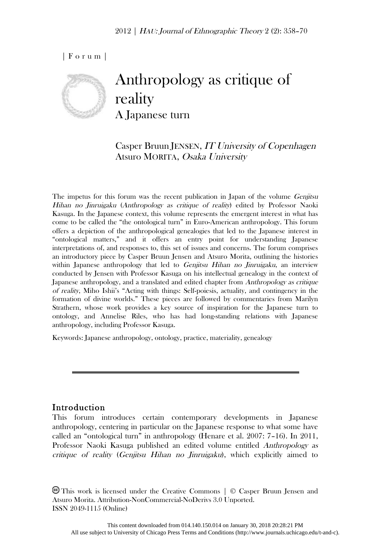## |Forum|



# Anthropology as critique of reality A Japanese turn

## Casper Bruun JENSEN, IT University of Copenhagen Atsuro MORITA, Osaka University

The impetus for this forum was the recent publication in Japan of the volume Genjitsu Hihan no Jinruigaku (Anthropology as critique of reality) edited by Professor Naoki Kasuga. In the Japanese context, this volume represents the emergent interest in what has come to be called the "the ontological turn" in Euro-American anthropology. This forum offers a depiction of the anthropological genealogies that led to the Japanese interest in "ontological matters," and it offers an entry point for understanding Japanese interpretations of, and responses to, this set of issues and concerns. The forum comprises an introductory piece by Casper Bruun Jensen and Atsuro Morita, outlining the histories within Japanese anthropology that led to *Genjitsu Hihan no Jinruigaku*, an interview conducted by Jensen with Professor Kasuga on his intellectual genealogy in the context of Japanese anthropology, and a translated and edited chapter from Anthropology as critique of reality, Miho Ishii's "Acting with things: Self-poiesis, actuality, and contingency in the formation of divine worlds." These pieces are followed by commentaries from Marilyn Strathern, whose work provides a key source of inspiration for the Japanese turn to ontology, and Annelise Riles, who has had long-standing relations with Japanese anthropology, including Professor Kasuga.

Keywords: Japanese anthropology, ontology, practice, materiality, genealogy

## Introduction

This forum introduces certain contemporary developments in Japanese anthropology, centering in particular on the Japanese response to what some have called an "ontological turn" in anthropology (Henare et al. 2007: 7–16). In 2011, Professor Naoki Kasuga published an edited volume entitled Anthropology as critique of reality (Genjitsu Hihan no Jinruigaku), which explicitly aimed to

This work is licensed under the Creative Commons | © Casper Bruun Jensen and Atsuro Morita. Attribution-NonCommercial-NoDerivs 3.0 Unported. ISSN 2049-1115 (Online)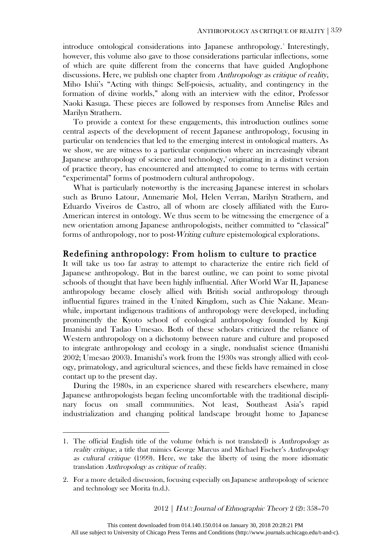introduce ontological considerations into Japanese anthropology. Interestingly, however, this volume also gave to those considerations particular inflections, some of which are quite different from the concerns that have guided Anglophone discussions. Here, we publish one chapter from Anthropology as critique of reality, Miho Ishii's "Acting with things: Self-poiesis, actuality, and contingency in the formation of divine worlds," along with an interview with the editor, Professor Naoki Kasuga. These pieces are followed by responses from Annelise Riles and Marilyn Strathern.

To provide a context for these engagements, this introduction outlines some central aspects of the development of recent Japanese anthropology, focusing in particular on tendencies that led to the emerging interest in ontological matters. As we show, we are witness to a particular conjunction where an increasingly vibrant Japanese anthropology of science and technology,<sup>2</sup> originating in a distinct version of practice theory, has encountered and attempted to come to terms with certain "experimental" forms of postmodern cultural anthropology.

What is particularly noteworthy is the increasing Japanese interest in scholars such as Bruno Latour, Annemarie Mol, Helen Verran, Marilyn Strathern, and Eduardo Viveiros de Castro, all of whom are closely affiliated with the Euro-American interest in ontology. We thus seem to be witnessing the emergence of a new orientation among Japanese anthropologists, neither committed to "classical" forms of anthropology, nor to post-Writing culture epistemological explorations.

### Redefining anthropology: From holism to culture to practice

It will take us too far astray to attempt to characterize the entire rich field of Japanese anthropology. But in the barest outline, we can point to some pivotal schools of thought that have been highly influential. After World War II, Japanese anthropology became closely allied with British social anthropology through influential figures trained in the United Kingdom, such as Chie Nakane. Meanwhile, important indigenous traditions of anthropology were developed, including prominently the Kyoto school of ecological anthropology founded by Kinji Imanishi and Tadao Umesao. Both of these scholars criticized the reliance of Western anthropology on a dichotomy between nature and culture and proposed to integrate anthropology and ecology in a single, nondualist science (Imanishi 2002; Umesao 2003). Imanishi's work from the 1930s was strongly allied with ecology, primatology, and agricultural sciences, and these fields have remained in close contact up to the present day.

During the 1980s, in an experience shared with researchers elsewhere, many Japanese anthropologists began feeling uncomfortable with the traditional disciplinary focus on small communities. Not least, Southeast Asia's rapid industrialization and changing political landscape brought home to Japanese

 $\overline{a}$ 

<sup>1.</sup> The official English title of the volume (which is not translated) is *Anthropology as* reality critique, a title that mimics George Marcus and Michael Fischer's Anthropology as cultural critique (1999). Here, we take the liberty of using the more idiomatic translation Anthropology as critique of reality.

<sup>2.</sup> For a more detailed discussion, focusing especially on Japanese anthropology of science and technology see Morita (n.d.).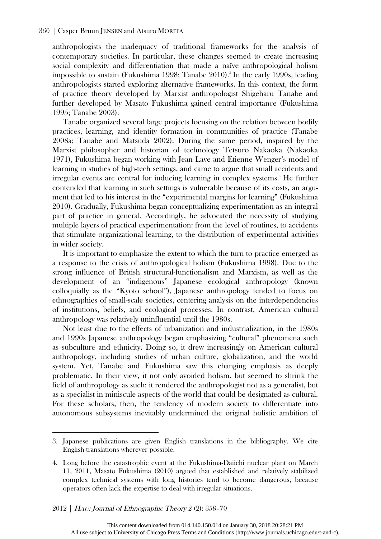anthropologists the inadequacy of traditional frameworks for the analysis of contemporary societies. In particular, these changes seemed to create increasing social complexity and differentiation that made a naïve anthropological holism impossible to sustain (Fukushima 1998; Tanabe 2010).<sup>8</sup> In the early 1990s, leading anthropologists started exploring alternative frameworks. In this context, the form of practice theory developed by Marxist anthropologist Shigeharu Tanabe and further developed by Masato Fukushima gained central importance (Fukushima 1995; Tanabe 2003).

Tanabe organized several large projects focusing on the relation between bodily practices, learning, and identity formation in communities of practice (Tanabe 2008a; Tanabe and Matsuda 2002). During the same period, inspired by the Marxist philosopher and historian of technology Tetsuro Nakaoka (Nakaoka 1971), Fukushima began working with Jean Lave and Etienne Wenger's model of learning in studies of high-tech settings, and came to argue that small accidents and irregular events are central for inducing learning in complex systems.4 He further contended that learning in such settings is vulnerable because of its costs, an argument that led to his interest in the "experimental margins for learning" (Fukushima 2010). Gradually, Fukushima began conceptualizing experimentation as an integral part of practice in general. Accordingly, he advocated the necessity of studying multiple layers of practical experimentation: from the level of routines, to accidents that stimulate organizational learning, to the distribution of experimental activities in wider society.

It is important to emphasize the extent to which the turn to practice emerged as a response to the crisis of anthropological holism (Fukushima 1998). Due to the strong influence of British structural-functionalism and Marxism, as well as the development of an "indigenous" Japanese ecological anthropology (known colloquially as the "Kyoto school"), Japanese anthropology tended to focus on ethnographies of small-scale societies, centering analysis on the interdependencies of institutions, beliefs, and ecological processes. In contrast, American cultural anthropology was relatively uninfluential until the 1980s.

Not least due to the effects of urbanization and industrialization, in the 1980s and 1990s Japanese anthropology began emphasizing "cultural" phenomena such as subculture and ethnicity. Doing so, it drew increasingly on American cultural anthropology, including studies of urban culture, globalization, and the world system. Yet, Tanabe and Fukushima saw this changing emphasis as deeply problematic. In their view, it not only avoided holism, but seemed to shrink the field of anthropology as such: it rendered the anthropologist not as a generalist, but as a specialist in miniscule aspects of the world that could be designated as cultural. For these scholars, then, the tendency of modern society to differentiate into autonomous subsystems inevitably undermined the original holistic ambition of

2012 | HAU: Journal of Ethnographic Theory 2 (2): 358–70

 $\overline{a}$ 

<sup>3.</sup> Japanese publications are given English translations in the bibliography. We cite English translations wherever possible.

<sup>4.</sup> Long before the catastrophic event at the Fukushima-Daiichi nuclear plant on March 11, 2011, Masato Fukushima (2010) argued that established and relatively stabilized complex technical systems with long histories tend to become dangerous, because operators often lack the expertise to deal with irregular situations.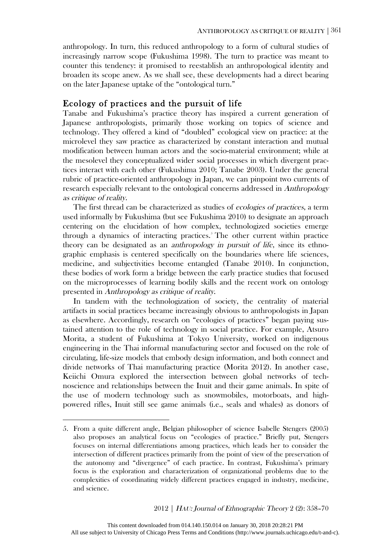anthropology. In turn, this reduced anthropology to a form of cultural studies of increasingly narrow scope (Fukushima 1998). The turn to practice was meant to counter this tendency: it promised to reestablish an anthropological identity and broaden its scope anew. As we shall see, these developments had a direct bearing on the later Japanese uptake of the "ontological turn."

## Ecology of practices and the pursuit of life

Tanabe and Fukushima's practice theory has inspired a current generation of Japanese anthropologists, primarily those working on topics of science and technology. They offered a kind of "doubled" ecological view on practice: at the microlevel they saw practice as characterized by constant interaction and mutual modification between human actors and the socio-material environment; while at the mesolevel they conceptualized wider social processes in which divergent practices interact with each other (Fukushima 2010; Tanabe 2003). Under the general rubric of practice-oriented anthropology in Japan, we can pinpoint two currents of research especially relevant to the ontological concerns addressed in Anthropology as critique of reality.

The first thread can be characterized as studies of *ecologies of practices*, a term used informally by Fukushima (but see Fukushima 2010) to designate an approach centering on the elucidation of how complex, technologized societies emerge through a dynamics of interacting practices. 5 The other current within practice theory can be designated as an *anthropology in pursuit of life*, since its ethnographic emphasis is centered specifically on the boundaries where life sciences, medicine, and subjectivities become entangled (Tanabe 2010). In conjunction, these bodies of work form a bridge between the early practice studies that focused on the microprocesses of learning bodily skills and the recent work on ontology presented in Anthropology as critique of reality.

In tandem with the technologization of society, the centrality of material artifacts in social practices became increasingly obvious to anthropologists in Japan as elsewhere. Accordingly, research on "ecologies of practices" began paying sustained attention to the role of technology in social practice. For example, Atsuro Morita, a student of Fukushima at Tokyo University, worked on indigenous engineering in the Thai informal manufacturing sector and focused on the role of circulating, life-size models that embody design information, and both connect and divide networks of Thai manufacturing practice (Morita 2012). In another case, Keiichi Omura explored the intersection between global networks of technoscience and relationships between the Inuit and their game animals. In spite of the use of modern technology such as snowmobiles, motorboats, and highpowered rifles, Inuit still see game animals (i.e., seals and whales) as donors of

 $\overline{a}$ 

<sup>5.</sup> From a quite different angle, Belgian philosopher of science Isabelle Stengers (2005) also proposes an analytical focus on "ecologies of practice." Briefly put, Stengers focuses on internal differentiations among practices, which leads her to consider the intersection of different practices primarily from the point of view of the preservation of the autonomy and "divergence" of each practice. In contrast, Fukushima's primary focus is the exploration and characterization of organizational problems due to the complexities of coordinating widely different practices engaged in industry, medicine, and science.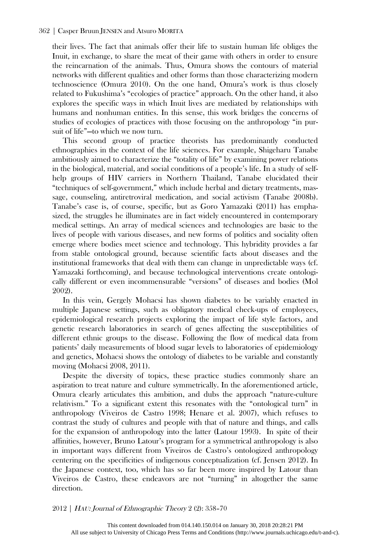their lives. The fact that animals offer their life to sustain human life obliges the Inuit, in exchange, to share the meat of their game with others in order to ensure the reincarnation of the animals. Thus, Omura shows the contours of material networks with different qualities and other forms than those characterizing modern technoscience (Omura 2010). On the one hand, Omura's work is thus closely related to Fukushima's "ecologies of practice" approach. On the other hand, it also explores the specific ways in which Inuit lives are mediated by relationships with humans and nonhuman entities. In this sense, this work bridges the concerns of studies of ecologies of practices with those focusing on the anthropology "in pursuit of life"—to which we now turn.

This second group of practice theorists has predominantly conducted ethnographies in the context of the life sciences. For example, Shigeharu Tanabe ambitiously aimed to characterize the "totality of life" by examining power relations in the biological, material, and social conditions of a people's life. In a study of selfhelp groups of HIV carriers in Northern Thailand, Tanabe elucidated their "techniques of self-government," which include herbal and dietary treatments, massage, counseling, antiretroviral medication, and social activism (Tanabe 2008b). Tanabe's case is, of course, specific, but as Goro Yamazaki (2011) has emphasized, the struggles he illuminates are in fact widely encountered in contemporary medical settings. An array of medical sciences and technologies are basic to the lives of people with various diseases, and new forms of politics and sociality often emerge where bodies meet science and technology. This hybridity provides a far from stable ontological ground, because scientific facts about diseases and the institutional frameworks that deal with them can change in unpredictable ways (cf. Yamazaki forthcoming), and because technological interventions create ontologically different or even incommensurable "versions" of diseases and bodies (Mol 2002).

In this vein, Gergely Mohacsi has shown diabetes to be variably enacted in multiple Japanese settings, such as obligatory medical check-ups of employees, epidemiological research projects exploring the impact of life style factors, and genetic research laboratories in search of genes affecting the susceptibilities of different ethnic groups to the disease. Following the flow of medical data from patients' daily measurements of blood sugar levels to laboratories of epidemiology and genetics, Mohacsi shows the ontology of diabetes to be variable and constantly moving (Mohacsi 2008, 2011).

Despite the diversity of topics, these practice studies commonly share an aspiration to treat nature and culture symmetrically. In the aforementioned article, Omura clearly articulates this ambition, and dubs the approach "nature-culture relativism." To a significant extent this resonates with the "ontological turn" in anthropology (Viveiros de Castro 1998; Henare et al. 2007), which refuses to contrast the study of cultures and people with that of nature and things, and calls for the expansion of anthropology into the latter (Latour 1993). In spite of their affinities, however, Bruno Latour's program for a symmetrical anthropology is also in important ways different from Viveiros de Castro's ontologized anthropology centering on the specificities of indigenous conceptualization (cf. Jensen 2012). In the Japanese context, too, which has so far been more inspired by Latour than Viveiros de Castro, these endeavors are not "turning" in altogether the same direction.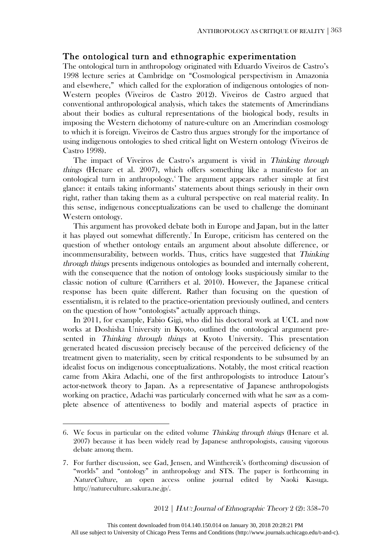#### The ontological turn and ethnographic experimentation

The ontological turn in anthropology originated with Eduardo Viveiros de Castro's 1998 lecture series at Cambridge on "Cosmological perspectivism in Amazonia and elsewhere," which called for the exploration of indigenous ontologies of non-Western peoples (Viveiros de Castro 2012). Viveiros de Castro argued that conventional anthropological analysis, which takes the statements of Amerindians about their bodies as cultural representations of the biological body, results in imposing the Western dichotomy of nature-culture on an Amerindian cosmology to which it is foreign. Viveiros de Castro thus argues strongly for the importance of using indigenous ontologies to shed critical light on Western ontology (Viveiros de Castro 1998).

The impact of Viveiros de Castro's argument is vivid in Thinking through things (Henare et al. 2007), which offers something like a manifesto for an ontological turn in anthropology. The argument appears rather simple at first glance: it entails taking informants' statements about things seriously in their own right, rather than taking them as a cultural perspective on real material reality. In this sense, indigenous conceptualizations can be used to challenge the dominant Western ontology.

This argument has provoked debate both in Europe and Japan, but in the latter it has played out somewhat differently.<sup>7</sup> In Europe, criticism has centered on the question of whether ontology entails an argument about absolute difference, or incommensurability, between worlds. Thus, critics have suggested that Thinking through things presents indigenous ontologies as bounded and internally coherent, with the consequence that the notion of ontology looks suspiciously similar to the classic notion of culture (Carrithers et al. 2010). However, the Japanese critical response has been quite different. Rather than focusing on the question of essentialism, it is related to the practice-orientation previously outlined, and centers on the question of how "ontologists" actually approach things.

In 2011, for example, Fabio Gigi, who did his doctoral work at UCL and now works at Doshisha University in Kyoto, outlined the ontological argument presented in Thinking through things at Kyoto University. This presentation generated heated discussion precisely because of the perceived deficiency of the treatment given to materiality, seen by critical respondents to be subsumed by an idealist focus on indigenous conceptualizations. Notably, the most critical reaction came from Akira Adachi, one of the first anthropologists to introduce Latour's actor-network theory to Japan. As a representative of Japanese anthropologists working on practice, Adachi was particularly concerned with what he saw as a complete absence of attentiveness to bodily and material aspects of practice in

 $\overline{a}$ 

<sup>6.</sup> We focus in particular on the edited volume Thinking through things (Henare et al. 2007) because it has been widely read by Japanese anthropologists, causing vigorous debate among them.

<sup>7.</sup> For further discussion, see Gad, Jensen, and Winthereik's (forthcoming) discussion of "worlds" and "ontology" in anthropology and STS. The paper is forthcoming in NatureCulture, an open access online journal edited by Naoki Kasuga. http://natureculture.sakura.ne.jp/.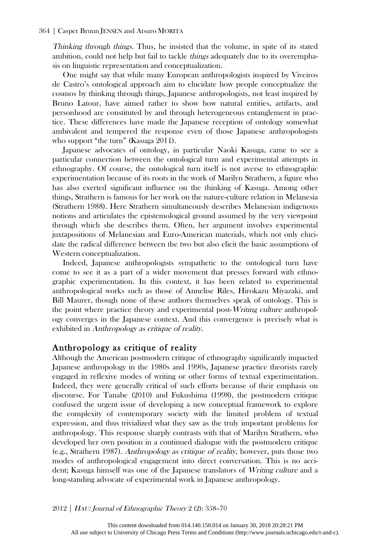Thinking through things. Thus, he insisted that the volume, in spite of its stated ambition, could not help but fail to tackle things adequately due to its overemphasis on linguistic representation and conceptualization.

One might say that while many European anthropologists inspired by Viveiros de Castro's ontological approach aim to elucidate how people conceptualize the cosmos by thinking through things, Japanese anthropologists, not least inspired by Bruno Latour, have aimed rather to show how natural entities, artifacts, and personhood are constituted by and through heterogeneous entanglement in practice. These differences have made the Japanese reception of ontology somewhat ambivalent and tempered the response even of those Japanese anthropologists who support "the turn" (Kasuga 2011).

Japanese advocates of ontology, in particular Naoki Kasuga, came to see a particular connection between the ontological turn and experimental attempts in ethnography. Of course, the ontological turn itself is not averse to ethnographic experimentation because of its roots in the work of Marilyn Strathern, a figure who has also exerted significant influence on the thinking of Kasuga. Among other things, Strathern is famous for her work on the nature-culture relation in Melanesia (Strathern 1988). Here Strathern simultaneously describes Melanesian indigenous notions and articulates the epistemological ground assumed by the very viewpoint through which she describes them. Often, her argument involves experimental juxtapositions of Melanesian and Euro-American materials, which not only elucidate the radical difference between the two but also elicit the basic assumptions of Western conceptualization.

Indeed, Japanese anthropologists sympathetic to the ontological turn have come to see it as a part of a wider movement that presses forward with ethnographic experimentation. In this context, it has been related to experimental anthropological works such as those of Annelise Riles, Hirokazu Miyazaki, and Bill Maurer, though none of these authors themselves speak of ontology. This is the point where practice theory and experimental post-Writing culture anthropology converges in the Japanese context. And this convergence is precisely what is exhibited in *Anthropology as critique of reality*.

#### Anthropology as critique of reality

Although the American postmodern critique of ethnography significantly impacted Japanese anthropology in the 1980s and 1990s, Japanese practice theorists rarely engaged in reflexive modes of writing or other forms of textual experimentation. Indeed, they were generally critical of such efforts because of their emphasis on discourse. For Tanabe (2010) and Fukushima (1998), the postmodern critique confused the urgent issue of developing a new conceptual framework to explore the complexity of contemporary society with the limited problem of textual expression, and thus trivialized what they saw as the truly important problems for anthropology. This response sharply contrasts with that of Marilyn Strathern, who developed her own position in a continued dialogue with the postmodern critique (e.g., Strathern 1987). Anthropology as critique of reality, however, puts those two modes of anthropological engagement into direct conversation. This is no accident; Kasuga himself was one of the Japanese translators of Writing culture and a long-standing advocate of experimental work in Japanese anthropology.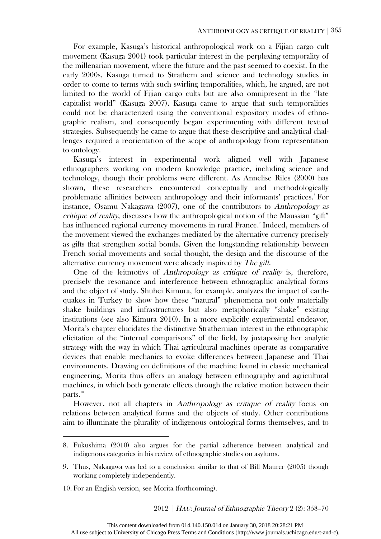For example, Kasuga's historical anthropological work on a Fijian cargo cult movement (Kasuga 2001) took particular interest in the perplexing temporality of the millenarian movement, where the future and the past seemed to coexist. In the early 2000s, Kasuga turned to Strathern and science and technology studies in order to come to terms with such swirling temporalities, which, he argued, are not limited to the world of Fijian cargo cults but are also omnipresent in the "late capitalist world" (Kasuga 2007). Kasuga came to argue that such temporalities could not be characterized using the conventional expository modes of ethnographic realism, and consequently began experimenting with different textual strategies. Subsequently he came to argue that these descriptive and analytical challenges required a reorientation of the scope of anthropology from representation to ontology.

Kasuga's interest in experimental work aligned well with Japanese ethnographers working on modern knowledge practice, including science and technology, though their problems were different. As Annelise Riles (2000) has shown, these researchers encountered conceptually and methodologically problematic affinities between anthropology and their informants' practices. For instance, Osamu Nakagawa (2007), one of the contributors to Anthropology as critique of reality, discusses how the anthropological notion of the Maussian "gift" has influenced regional currency movements in rural France.<sup>9</sup> Indeed, members of the movement viewed the exchanges mediated by the alternative currency precisely as gifts that strengthen social bonds. Given the longstanding relationship between French social movements and social thought, the design and the discourse of the alternative currency movement were already inspired by The gift.

One of the leitmotivs of Anthropology as critique of reality is, therefore, precisely the resonance and interference between ethnographic analytical forms and the object of study. Shuhei Kimura, for example, analyzes the impact of earthquakes in Turkey to show how these "natural" phenomena not only materially shake buildings and infrastructures but also metaphorically "shake" existing institutions (see also Kimura 2010). In a more explicitly experimental endeavor, Morita's chapter elucidates the distinctive Strathernian interest in the ethnographic elicitation of the "internal comparisons" of the field, by juxtaposing her analytic strategy with the way in which Thai agricultural machines operate as comparative devices that enable mechanics to evoke differences between Japanese and Thai environments. Drawing on definitions of the machine found in classic mechanical engineering, Morita thus offers an analogy between ethnography and agricultural machines, in which both generate effects through the relative motion between their parts.<sup>10</sup>

However, not all chapters in Anthropology as critique of reality focus on relations between analytical forms and the objects of study. Other contributions aim to illuminate the plurality of indigenous ontological forms themselves, and to

 $\overline{a}$ 

<sup>8.</sup> Fukushima (2010) also argues for the partial adherence between analytical and indigenous categories in his review of ethnographic studies on asylums.

<sup>9.</sup> Thus, Nakagawa was led to a conclusion similar to that of Bill Maurer (2005) though working completely independently.

<sup>10.</sup> For an English version, see Morita (forthcoming).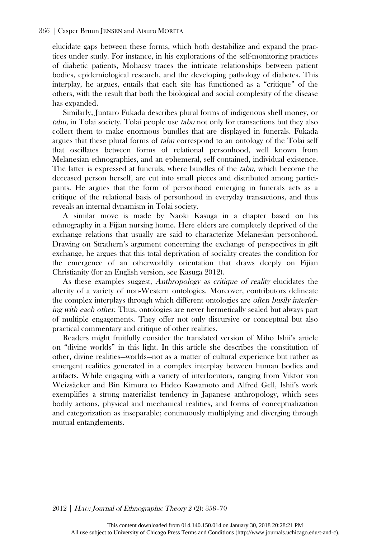elucidate gaps between these forms, which both destabilize and expand the practices under study. For instance, in his explorations of the self-monitoring practices of diabetic patients, Mohacsy traces the intricate relationships between patient bodies, epidemiological research, and the developing pathology of diabetes. This interplay, he argues, entails that each site has functioned as a "critique" of the others, with the result that both the biological and social complexity of the disease has expanded.

Similarly, Juntaro Fukada describes plural forms of indigenous shell money, or tabu, in Tolai society. Tolai people use tabu not only for transactions but they also collect them to make enormous bundles that are displayed in funerals. Fukada argues that these plural forms of tabu correspond to an ontology of the Tolai self that oscillates between forms of relational personhood, well known from Melanesian ethnographies, and an ephemeral, self contained, individual existence. The latter is expressed at funerals, where bundles of the *tabu*, which become the deceased person herself, are cut into small pieces and distributed among participants. He argues that the form of personhood emerging in funerals acts as a critique of the relational basis of personhood in everyday transactions, and thus reveals an internal dynamism in Tolai society.

A similar move is made by Naoki Kasuga in a chapter based on his ethnography in a Fijian nursing home. Here elders are completely deprived of the exchange relations that usually are said to characterize Melanesian personhood. Drawing on Strathern's argument concerning the exchange of perspectives in gift exchange, he argues that this total deprivation of sociality creates the condition for the emergence of an otherworldly orientation that draws deeply on Fijian Christianity (for an English version, see Kasuga 2012).

As these examples suggest, Anthropology as critique of reality elucidates the alterity of a variety of non-Western ontologies. Moreover, contributors delineate the complex interplays through which different ontologies are often busily interfering with each other. Thus, ontologies are never hermetically sealed but always part of multiple engagements. They offer not only discursive or conceptual but also practical commentary and critique of other realities.

Readers might fruitfully consider the translated version of Miho Ishii's article on "divine worlds" in this light. In this article she describes the constitution of other, divine realities—worlds—not as a matter of cultural experience but rather as emergent realities generated in a complex interplay between human bodies and artifacts. While engaging with a variety of interlocutors, ranging from Viktor von Weizsäcker and Bin Kimura to Hideo Kawamoto and Alfred Gell, Ishii's work exemplifies a strong materialist tendency in Japanese anthropology, which sees bodily actions, physical and mechanical realities, and forms of conceptualization and categorization as inseparable; continuously multiplying and diverging through mutual entanglements.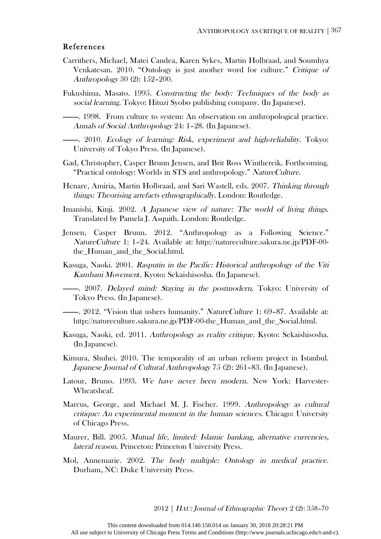#### References

- Carrithers, Michael, Matei Candea, Karen Sykes, Martin Holbraad, and Soumhya Venkatesan. 2010. "Ontology is just another word for culture." Critique of Anthropology 30 (2): 152–200.
- Fukushima, Masato. 1995. Constructing the body: Techniques of the body as social learning. Tokyo: Hituzi Syobo publishing company. (In Japanese).
- ———. 1998. From culture to system: An observation on anthropological practice. Annals of Social Anthropology 24: 1–28. (In Japanese).
- ———. 2010. Ecology of learning: Risk, experiment and high-reliability. Tokyo: University of Tokyo Press. (In Japanese).
- Gad, Christopher, Casper Bruun Jensen, and Brit Ross Winthereik. Forthcoming. "Practical ontology: Worlds in STS and anthropology." NatureCulture.
- Henare, Amiria, Martin Holbraad, and Sari Wastell, eds. 2007. Thinking through things: Theorising artefacts ethnographically. London: Routledge.
- Imanishi, Kinji. 2002. A Japanese view of nature: The world of living things. Translated by Pamela J. Asquith. London: Routledge.
- Jensen, Casper Bruun. 2012. "Anthropology as a Following Science." NatureCulture 1: 1–24. Available at: http://natureculture.sakura.ne.jp/PDF-00 the\_Human\_and\_the\_Social.html.
- Kasuga, Naoki. 2001. Rasputin in the Pacific: Historical anthropology of the Viti Kambani Movement. Kyoto: Sekaishisosha. (In Japanese).

———. 2007. Delayed mind: Staying in the postmodern. Tokyo: University of Tokyo Press. (In Japanese).

- ———. 2012. "Vision that ushers humanity." NatureCulture 1: 69–87. Available at: http://natureculture.sakura.ne.jp/PDF-00-the\_Human\_and\_the\_Social.html.
- Kasuga, Naoki, ed. 2011. Anthropology as reality critique. Kyoto: Sekaishisosha. (In Japanese).
- Kimura, Shuhei. 2010. The temporality of an urban reform project in Istanbul. Japanese Journal of Cultural Anthropology 75 (2): 261–83. (In Japanese).
- Latour, Bruno. 1993. We have never been modern. New York: Harvester-Wheatsheaf.
- Marcus, George, and Michael M. J. Fischer. 1999. Anthropology as cultural critique: An experimental moment in the human sciences. Chicago: University of Chicago Press.
- Maurer, Bill. 2005. Mutual life, limited: Islamic banking, alternative currencies, lateral reason. Princeton: Princeton University Press.
- Mol, Annemarie. 2002. The body multiple: Ontology in medical practice. Durham, NC: Duke University Press.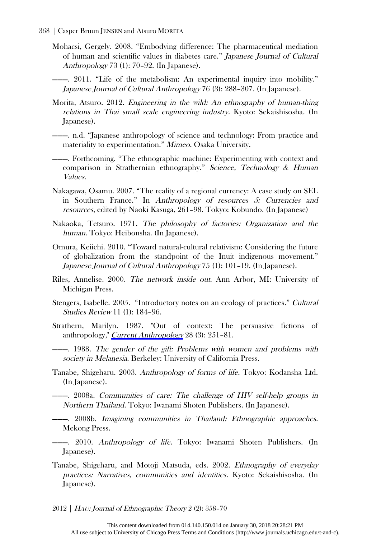- Mohacsi, Gergely. 2008. "Embodying difference: The pharmaceutical mediation of human and scientific values in diabetes care." Japanese Journal of Cultural Anthropology 73 (1): 70–92. (In Japanese).
- ———. 2011. "Life of the metabolism: An experimental inquiry into mobility." Japanese Journal of Cultural Anthropology 76 (3): 288–307. (In Japanese).
- Morita, Atsuro. 2012. Engineering in the wild: An ethnography of human-thing relations in Thai small scale engineering industry. Kyoto: Sekaishisosha. (In Japanese).
- ———. n.d. "Japanese anthropology of science and technology: From practice and materiality to experimentation." Mimeo. Osaka University.
- ———. Forthcoming. "The ethnographic machine: Experimenting with context and comparison in Strathernian ethnography." Science, Technology & Human Values.
- Nakagawa, Osamu. 2007. "The reality of a regional currency: A case study on SEL in Southern France." In Anthropology of resources 5: Currencies and resources, edited by Naoki Kasuga, 261–98. Tokyo: Kobundo. (In Japanese)
- Nakaoka, Tetsuro. 1971. The philosophy of factories: Organization and the human. Tokyo: Heibonsha. (In Japanese).
- Omura, Keiichi. 2010. "Toward natural-cultural relativism: Considering the future of globalization from the standpoint of the Inuit indigenous movement." Japanese Journal of Cultural Anthropology 75 (1): 101–19. (In Japanese).
- Riles, Annelise. 2000. The network inside out. Ann Arbor, MI: University of Michigan Press.
- Stengers, Isabelle. 2005. "Introductory notes on an ecology of practices." Cultural Studies Review 11 (1): 184–96.
- Strathern, Marilyn. 1987. "Out of context: The persuasive fictions of anthropology," *[Current Anthropology](http://www.journals.uchicago.edu/action/showLinks?doi=10.14318%2Fhau2.2.018&system=10.1086%2F203527&citationId=p_36)* 28 (3): 251-81.
- ———. 1988. The gender of the gift: Problems with women and problems with society in Melanesia. Berkeley: University of California Press.
- Tanabe, Shigeharu. 2003. Anthropology of forms of life. Tokyo: Kodansha Ltd. (In Japanese).
- ———. 2008a. Communities of care: The challenge of HIV self-help groups in Northern Thailand. Tokyo: Iwanami Shoten Publishers. (In Japanese).
- ———. 2008b. Imagining communities in Thailand: Ethnographic approaches. Mekong Press.
- ———. 2010. Anthropology of life. Tokyo: Iwanami Shoten Publishers. (In Japanese).
- Tanabe, Shigeharu, and Motoji Matsuda, eds. 2002. Ethnography of everyday practices: Narratives, communities and identities. Kyoto: Sekaishisosha. (In Japanese).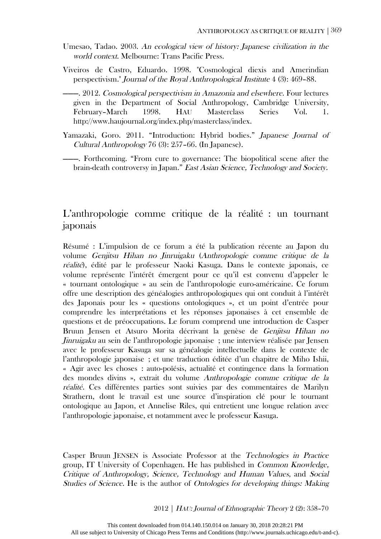- Umesao, Tadao. 2003. An ecological view of history: Japanese civilization in the world context. Melbourne: Trans Pacific Press.
- Viveiros de Castro, Eduardo. 1998. "Cosmological diexis and Amerindian perspectivism." Journal of the Royal Anthropological Institute 4 (3): 469–88.
- ———. 2012. Cosmological perspectivism in Amazonia and elsewhere. Four lectures given in the Department of Social Anthropology, Cambridge University, February–March 1998. HAU Masterclass Series Vol. 1. http://www.haujournal.org/index.php/masterclass/index.
- Yamazaki, Goro. 2011. "Introduction: Hybrid bodies." Japanese Journal of Cultural Anthropology 76 (3): 257–66. (In Japanese).
- ———. Forthcoming. "From cure to governance: The biopolitical scene after the brain-death controversy in Japan." East Asian Science, Technology and Society.

# L'anthropologie comme critique de la réalité : un tournant japonais

Résumé : L'impulsion de ce forum a été la publication récente au Japon du volume Genjitsu Hihan no Jinruigaku (Anthropologie comme critique de la réalité), édité par le professeur Naoki Kasuga. Dans le contexte japonais, ce volume représente l'intérêt émergent pour ce qu'il est convenu d'appeler le « tournant ontologique » au sein de l'anthropologie euro-américaine. Ce forum offre une description des généalogies anthropologiques qui ont conduit à l'intérêt des Japonais pour les « questions ontologiques », et un point d'entrée pour comprendre les interprétations et les réponses japonaises à cet ensemble de questions et de préoccupations. Le forum comprend une introduction de Casper Bruun Jensen et Atsuro Morita décrivant la genèse de Genjitsu Hihan no Jinruigaku au sein de l'anthropologie japonaise ; une interview réalisée par Jensen avec le professeur Kasuga sur sa généalogie intellectuelle dans le contexte de l'anthropologie japonaise ; et une traduction éditée d'un chapitre de Miho Ishii, « Agir avec les choses : auto-poïésis, actualité et contingence dans la formation des mondes divins », extrait du volume Anthropologie comme critique de la réalité. Ces différentes parties sont suivies par des commentaires de Marilyn Strathern, dont le travail est une source d'inspiration clé pour le tournant ontologique au Japon, et Annelise Riles, qui entretient une longue relation avec l'anthropologie japonaise, et notamment avec le professeur Kasuga.

Casper Bruun JENSEN is Associate Professor at the Technologies in Practice group, IT University of Copenhagen. He has published in Common Knowledge, Critique of Anthropology, Science, Technology and Human Values, and Social Studies of Science. He is the author of Ontologies for developing things: Making